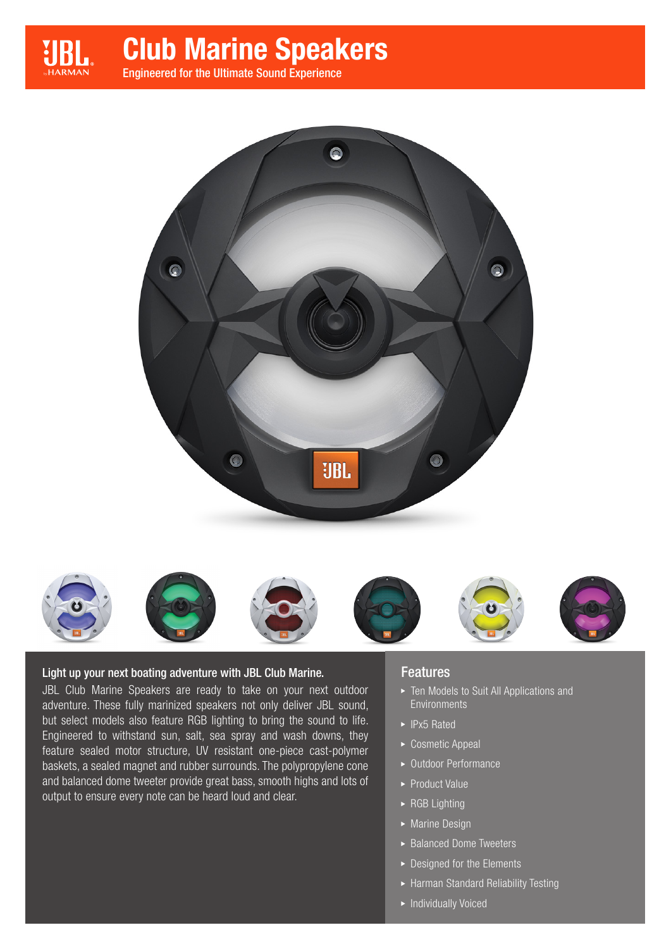Engineered for the Ultimate Sound Experience





#### Light up your next boating adventure with JBL Club Marine.

JBL Club Marine Speakers are ready to take on your next outdoor adventure. These fully marinized speakers not only deliver JBL sound, but select models also feature RGB lighting to bring the sound to life. Engineered to withstand sun, salt, sea spray and wash downs, they feature sealed motor structure, UV resistant one-piece cast-polymer baskets, a sealed magnet and rubber surrounds. The polypropylene cone and balanced dome tweeter provide great bass, smooth highs and lots of output to ensure every note can be heard loud and clear.

#### Features

- ▶ Ten Models to Suit All Applications and **Environments**
- ▶ IPx5 Rated
- ► Cosmetic Appeal
- ▶ Outdoor Performance
- ▶ Product Value
- ▶ RGB Lighting
- Marine Design
- **Balanced Dome Tweeters**
- ▶ Designed for the Elements
- Harman Standard Reliability Testing
- **Individually Voiced**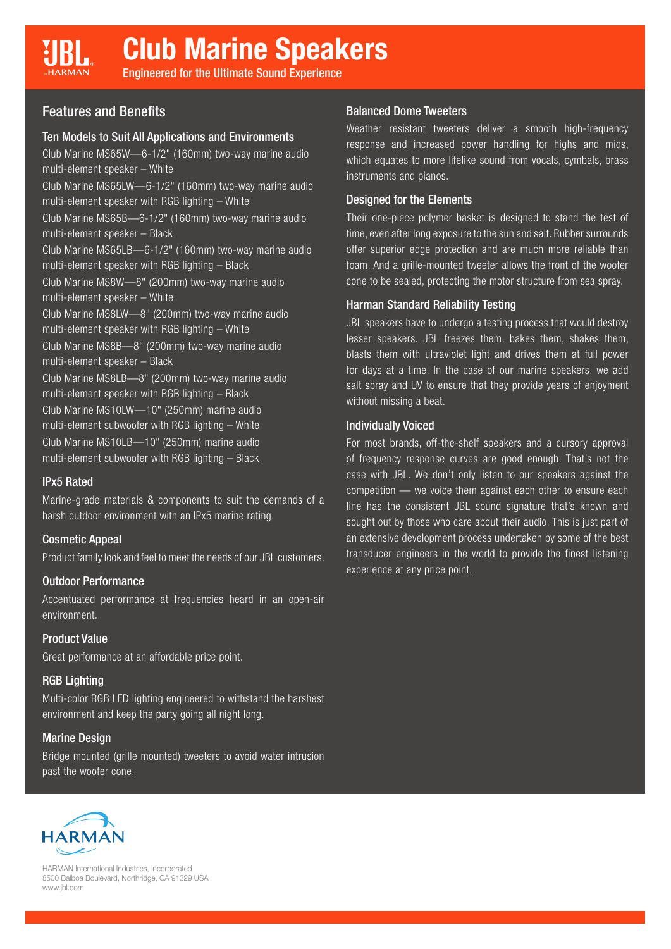Engineered for the Ultimate Sound Experience

# Features and Benefits

# Ten Models to Suit All Applications and Environments

Club Marine MS65W—6-1/2" (160mm) two-way marine audio multi-element speaker – White Club Marine MS65LW—6-1/2" (160mm) two-way marine audio multi-element speaker with RGB lighting – White Club Marine MS65B—6-1/2" (160mm) two-way marine audio multi-element speaker – Black Club Marine MS65LB—6-1/2" (160mm) two-way marine audio multi-element speaker with RGB lighting – Black Club Marine MS8W—8" (200mm) two-way marine audio multi-element speaker – White Club Marine MS8LW—8" (200mm) two-way marine audio multi-element speaker with RGB lighting – White Club Marine MS8B—8" (200mm) two-way marine audio multi-element speaker – Black Club Marine MS8LB—8" (200mm) two-way marine audio multi-element speaker with RGB lighting – Black Club Marine MS10LW—10" (250mm) marine audio multi-element subwoofer with RGB lighting – White Club Marine MS10LB—10" (250mm) marine audio multi-element subwoofer with RGB lighting – Black

#### IPx5 Rated

Marine-grade materials & components to suit the demands of a harsh outdoor environment with an IPx5 marine rating.

#### Cosmetic Appeal

Product family look and feel to meet the needs of our JBL customers.

#### Outdoor Performance

Accentuated performance at frequencies heard in an open-air environment.

#### Product Value

Great performance at an affordable price point.

#### RGB Lighting

Multi-color RGB LED lighting engineered to withstand the harshest environment and keep the party going all night long.

#### Marine Design

Bridge mounted (grille mounted) tweeters to avoid water intrusion past the woofer cone.

HARMAN International Industries, Incorporated 8500 Balboa Boulevard, Northridge, CA 91329 USA www.jbl.com

#### Balanced Dome Tweeters

Weather resistant tweeters deliver a smooth high-frequency response and increased power handling for highs and mids, which equates to more lifelike sound from vocals, cymbals, brass instruments and pianos.

#### Designed for the Elements

Their one-piece polymer basket is designed to stand the test of time, even after long exposure to the sun and salt. Rubber surrounds offer superior edge protection and are much more reliable than foam. And a grille-mounted tweeter allows the front of the woofer cone to be sealed, protecting the motor structure from sea spray.

#### Harman Standard Reliability Testing

JBL speakers have to undergo a testing process that would destroy lesser speakers. JBL freezes them, bakes them, shakes them, blasts them with ultraviolet light and drives them at full power for days at a time. In the case of our marine speakers, we add salt spray and UV to ensure that they provide years of enjoyment without missing a beat.

#### Individually Voiced

For most brands, off-the-shelf speakers and a cursory approval of frequency response curves are good enough. That's not the case with JBL. We don't only listen to our speakers against the competition — we voice them against each other to ensure each line has the consistent JBL sound signature that's known and sought out by those who care about their audio. This is just part of an extensive development process undertaken by some of the best transducer engineers in the world to provide the finest listening experience at any price point.

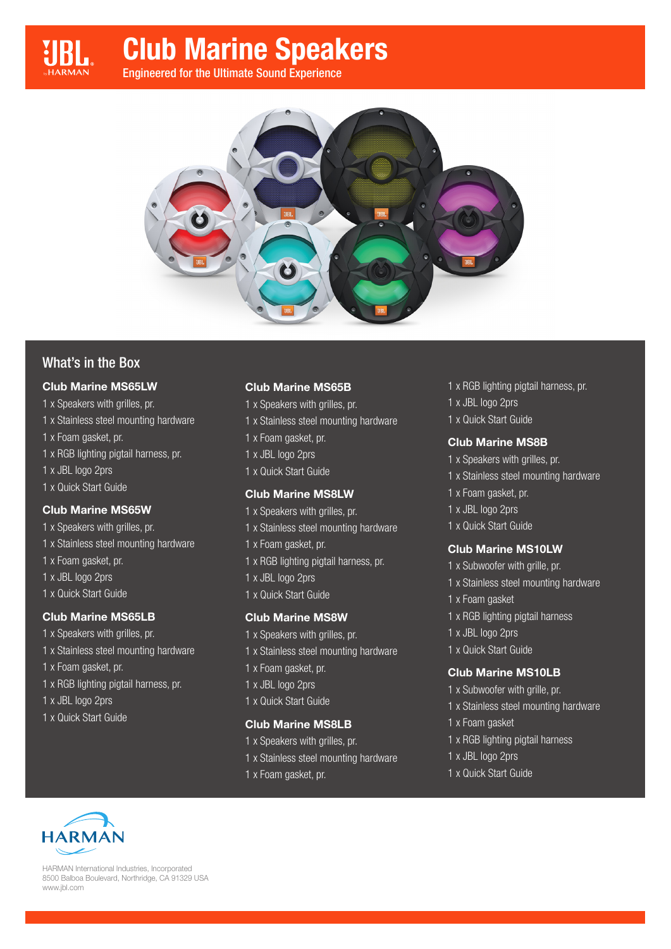Engineered for the Ultimate Sound Experience



# What's in the Box

#### Club Marine MS65LW

1 x Speakers with grilles, pr. 1 x Stainless steel mounting hardware 1 x Foam gasket, pr. 1 x RGB lighting pigtail harness, pr. 1 x JBL logo 2prs 1 x Quick Start Guide

#### Club Marine MS65W

1 x Speakers with grilles, pr. 1 x Stainless steel mounting hardware 1 x Foam gasket, pr. 1 x JBL logo 2prs 1 x Quick Start Guide

#### Club Marine MS65LB

1 x Speakers with grilles, pr. 1 x Stainless steel mounting hardware 1 x Foam gasket, pr. 1 x RGB lighting pigtail harness, pr. 1 x JBL logo 2prs 1 x Quick Start Guide

#### Club Marine MS65B

1 x Speakers with grilles, pr. 1 x Stainless steel mounting hardware 1 x Foam gasket, pr. 1 x JBL logo 2prs 1 x Quick Start Guide

#### Club Marine MS8LW

1 x Speakers with grilles, pr. 1 x Stainless steel mounting hardware 1 x Foam gasket, pr. 1 x RGB lighting pigtail harness, pr. 1 x JBL logo 2prs 1 x Quick Start Guide

# Club Marine MS8W

1 x Speakers with grilles, pr. 1 x Stainless steel mounting hardware 1 x Foam gasket, pr. 1 x JBL logo 2prs 1 x Quick Start Guide

#### Club Marine MS8LB

1 x Speakers with grilles, pr. 1 x Stainless steel mounting hardware 1 x Foam gasket, pr.

1 x RGB lighting pigtail harness, pr. 1 x JBL logo 2prs 1 x Quick Start Guide

#### Club Marine MS8B

- 1 x Speakers with grilles, pr.
- 1 x Stainless steel mounting hardware
- 1 x Foam gasket, pr.
- 1 x JBL logo 2prs
- 1 x Quick Start Guide

#### Club Marine MS10LW

1 x Subwoofer with grille, pr. 1 x Stainless steel mounting hardware 1 x Foam gasket 1 x RGB lighting pigtail harness 1 x JBL logo 2prs 1 x Quick Start Guide

#### Club Marine MS10LB

- 1 x Subwoofer with grille, pr.
- 1 x Stainless steel mounting hardware
- 1 x Foam gasket
- 1 x RGB lighting pigtail harness
- 1 x JBL logo 2prs
- 1 x Quick Start Guide



HARMAN International Industries, Incorporated 8500 Balboa Boulevard, Northridge, CA 91329 USA www.jbl.com